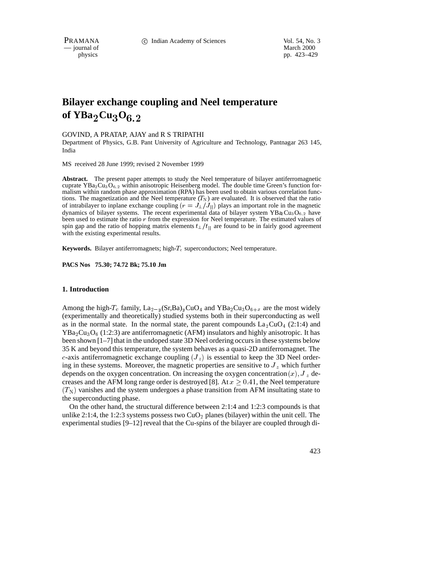PRAMANA 
<sup>c</sup> Indian Academy of Sciences Vol. 54, No. 3<br>
— journal of March 2000

 $-$  journal of

physics pp. 423–429

# **Bilayer exchange coupling and Neel temperature of YBa**<sup>2</sup>**Cu**3**O**6:2

## GOVIND, A PRATAP, AJAY and R S TRIPATHI

Department of Physics, G.B. Pant University of Agriculture and Technology, Pantnagar 263 145, India

MS received 28 June 1999; revised 2 November 1999

**Abstract.** The present paper attempts to study the Neel temperature of bilayer antiferromagnetic cuprate  $YBa_2Cu_3O_{6,2}$  within anisotropic Heisenberg model. The double time Green's function formalism within random phase approximation (RPA) has been used to obtain various correlation functions. The magnetization and the Neel temperature  $(T_N)$  are evaluated. It is observed that the ratio of intrabilayer to inplane exchange coupling  $(r = J_{\perp}/J_{||})$  plays an important role in the magnetic dynamics of bilayer systems. The recent experimental data of bilayer system  $YBa_2Cu_3O_{6,2}$  have been used to estimate the ratio <sup>r</sup> from the expression for Neel temperature. The estimated values of spin gap and the ratio of hopping matrix elements  $t_{\perp}/t_{\parallel}$  are found to be in fairly good agreement with the existing experimental results.

**Keywords.** Bilayer antiferromagnets; high- $T_c$  superconductors; Neel temperature.

**PACS Nos 75.30; 74.72 Bk; 75.10 Jm**

## **1. Introduction**

Among the high-T<sub>c</sub> family,  $\text{La}_{2-y}(\text{Sr,Ba})_y\text{CuO}_4$  and  $\text{YBa}_2\text{Cu}_3\text{O}_{6+x}$  are the most widely (experimentally and theoretically) studied systems both in their superconducting as well as in the normal state. In the normal state, the parent compounds  $\text{La}_2\text{CuO}_4$  (2:1:4) and  $YBa_2Cu_3O_6$  (1:2:3) are antiferromagnetic (AFM) insulators and highly anisotropic. It has been shown [1–7] that in the undoped state 3D Neel ordering occurs in these systems below 35 K and beyond this temperature, the system behaves as a quasi-2D antiferromagnet. The c-axis antiferromagnetic exchange coupling  $(J_z)$  is essential to keep the 3D Neel ordering in these systems. Moreover, the magnetic properties are sensitive to  $J_z$  which further depends on the oxygen concentration. On increasing the oxygen concentration  $(x)$ ,  $J_z$  decreases and the AFM long range order is destroyed [8]. At  $x \geq 0.41$ , the Neel temperature  $(T<sub>N</sub>)$  vanishes and the system undergoes a phase transition from AFM insultating state to the superconducting phase.

On the other hand, the structural difference between 2:1:4 and 1:2:3 compounds is that unlike 2:1:4, the 1:2:3 systems possess two  $CuO<sub>2</sub>$  planes (bilayer) within the unit cell. The experimental studies  $[9-12]$  reveal that the Cu-spins of the bilayer are coupled through di-

423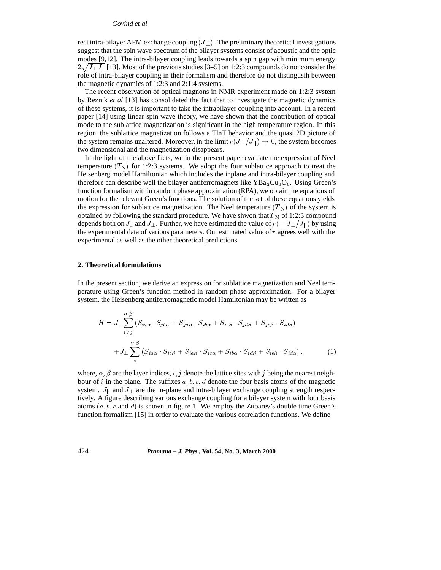#### *Govind et al*

rect intra-bilayer AFM exchange coupling  $(J_{\perp})$ . The preliminary theoretical investigations suggest that the spin wave spectrum of the bilayer systems consist of acoustic and the optic modes [9,12]. The intra-bilayer coupling leads towards a spin gap with minimum energy  $2\sqrt{J_{\perp}J_{\parallel}}$  [13]. Most of the previous studies [3–5] on 1:2:3 compounds do not consider the role of intra-bilayer coupling in their formalism and therefore do not distingusih between the magnetic dynamics of 1:2:3 and 2:1:4 systems.

The recent observation of optical magnons in NMR experiment made on 1:2:3 system by Reznik *et al* [13] has consolidated the fact that to investigate the magnetic dynamics of these systems, it is important to take the intrabilayer coupling into account. In a recent paper [14] using linear spin wave theory, we have shown that the contribution of optical mode to the sublattice magnetization is significant in the high temperature region. In this region, the sublattice magnetization follows a TlnT behavior and the quasi 2D picture of the system remains unaltered. Moreover, in the limit  $r(J_{\perp}/J_{\parallel}) \rightarrow 0$ , the system becomes two dimensional and the magnetization disappears.

In the light of the above facts, we in the present paper evaluate the expression of Neel temperature  $(T<sub>N</sub>)$  for 1:2:3 systems. We adopt the four sublattice approach to treat the Heisenberg model Hamiltonian which includes the inplane and intra-bilayer coupling and therefore can describe well the bilayer antiferromagnets like  $YBa<sub>2</sub>Cu<sub>3</sub>O<sub>6</sub>$ . Using Green's function formalism within random phase approximation (RPA), we obtain the equations of motion for the relevant Green's functions. The solution of the set of these equations yields the expression for sublattice magnetization. The Neel temperature  $(T_N)$  of the system is obtained by following the standard procedure. We have shwon that  $T_N$  of 1:2:3 compound depends both on  $J_z$  and  $J_{\perp}$ . Further, we have estimated the value of  $r(=J_{\perp}/J_{\parallel})$  by using the experimental data of various parameters. Our estimated value of  $r$  agrees well with the experimental as well as the other theoretical predictions.

### **2. Theoretical formulations**

In the present section, we derive an expression for sublattice magnetization and Neel temperature using Green's function method in random phase approximation. For a bilayer system, the Heisenberg antiferromagnetic model Hamiltonian may be written as

$$
H = J_{||} \sum_{i \neq j}^{\alpha,\beta} (S_{ia\alpha} \cdot S_{jb\alpha} + S_{ja\alpha} \cdot S_{ib\alpha} + S_{ic\beta} \cdot S_{jd\beta} + S_{jc\beta} \cdot S_{id\beta})
$$
  
+
$$
J_{\perp} \sum_{i}^{\alpha,\beta} (S_{ia\alpha} \cdot S_{ic\beta} + S_{ia\beta} \cdot S_{ic\alpha} + S_{ib\alpha} \cdot S_{id\beta} + S_{ib\beta} \cdot S_{id\alpha}), \qquad (1)
$$

where,  $\alpha$ ,  $\beta$  are the layer indices, i, j denote the lattice sites with j being the nearest neighbour of i in the plane. The suffixes  $a, b, c, d$  denote the four basis atoms of the magnetic system.  $J_{\parallel}$  and  $J_{\perp}$  are the in-plane and intra-bilayer exchange coupling strength respectively. A figure describing various exchange coupling for a bilayer system with four basis atoms  $(a, b, c \text{ and } d)$  is shown in figure 1. We employ the Zubarev's double time Green's function formalism [15] in order to evaluate the various correlation functions. We define

424 *Pramana – J. Phys.,* **Vol. 54, No. 3, March 2000**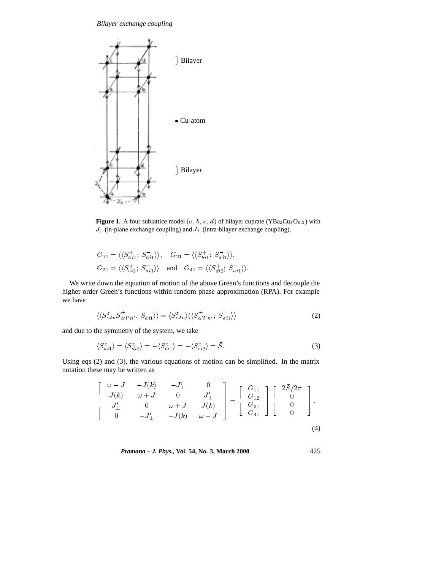*Bilayer exchange coupling*



**Figure 1.** A four sublattice model  $(a, b, c, d)$  of bilayer cuprate  $(YBa_2Cu_3O_{6.2})$  with  $J_{\parallel}$  (in-plane exchange coupling) and  $J_{\perp}$  (intra-bilayer exchange coupling).

$$
G_{11} = \langle \langle S_{ai1}^+; S_{ai1}^- \rangle \rangle, \quad G_{21} = \langle \langle S_{bi1}^+; S_{ai1}^- \rangle \rangle,
$$
  
\n
$$
G_{31} = \langle \langle S_{ci2}^+; S_{ai1}^- \rangle \rangle \quad \text{and} \quad G_{41} = \langle \langle S_{di2}^+; S_{ai1}^- \rangle \rangle.
$$

We write down the equation of motion of the above Green's functions and decouple the higher order Green's functions within random phase approximation (RPA). For example we have

$$
\langle\langle S_{\alpha l n}^z S_{\alpha' l' n'}^{\pm} ; S_{a i 1}^{-} \rangle\rangle = \langle S_{\alpha l n}^z \rangle \langle\langle S_{\alpha' l' n'}^{\pm} ; S_{a i 1}^{-} \rangle\rangle \tag{2}
$$

and due to the symmetry of the system, we take

$$
\langle S_{ai1}^z \rangle = \langle S_{di2}^z \rangle = -\langle S_{bi1}^z \rangle = -\langle S_{ci2}^z \rangle = \overline{S}.
$$
 (3)

Using eqs (2) and (3), the various equations of motion can be simplified. In the matrix notation these may be written as

$$
\begin{bmatrix}\n\omega - J & -J(k) & -J'_{\perp} & 0 \\
J(k) & \omega + J & 0 & J'_{\perp} \\
J'_{\perp} & 0 & \omega + J & J(k) \\
0 & -J'_{\perp} & -J(k) & \omega - J\n\end{bmatrix} = \begin{bmatrix}\nG_{11} \\
G_{12} \\
G_{31} \\
G_{41}\n\end{bmatrix} \begin{bmatrix}\n2\overline{S}/2\pi \\
0 \\
0 \\
0\n\end{bmatrix},
$$
\n(4)

*Pramana – J. Phys.,* **Vol. 54, No. 3, March 2000** 425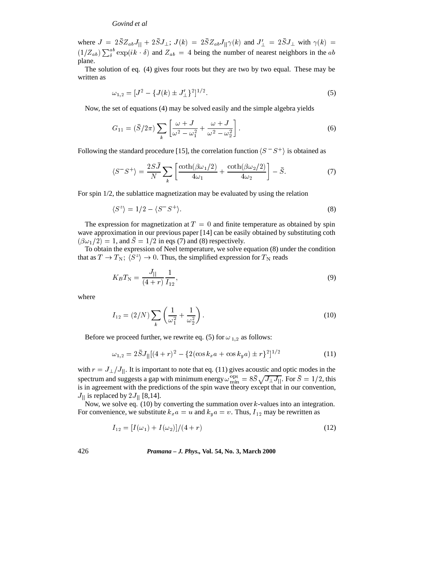## *Govind et al*

where  $J = 2SZ_{ab}J_{\parallel} + 2SJ_{\perp}$ ;  $J(k) = 2SZ_{ab}J_{\parallel}\gamma(k)$  and  $J'_{\perp} = 2SJ_{\perp}$  with  $\gamma(k) =$  $(1/Z_{ab})\sum_{\delta}^{ab} \exp(ik \cdot \delta)$  and  $Z_{ab} = 4$  being the number of nearest neighbors in the ab plane.

The solution of eq. (4) gives four roots but they are two by two equal. These may be written as

$$
\omega_{1,2} = [J^2 - \{J(k) \pm J'_\perp\}^2]^{1/2}.
$$
\n(5)

Now, the set of equations (4) may be solved easily and the simple algebra yields

$$
G_{11} = (\bar{S}/2\pi) \sum_{k} \left[ \frac{\omega + J}{\omega^2 - \omega_1^2} + \frac{\omega + J}{\omega^2 - \omega_2^2} \right].
$$
 (6)

Following the standard procedure [15], the correlation function  $\langle S^-S^+ \rangle$  is obtained as

$$
\langle S^-S^+\rangle = \frac{2SJ}{N} \sum_k \left[ \frac{\coth(\beta\omega_1/2)}{4\omega_1} + \frac{\coth(\beta\omega_2/2)}{4\omega_2} \right] - \bar{S}.
$$
 (7)

For spin 1/2, the sublattice magnetization may be evaluated by using the relation

$$
\langle S^z \rangle = 1/2 - \langle S^- S^+ \rangle. \tag{8}
$$

The expression for magnetization at  $T = 0$  and finite temperature as obtained by spin wave approximation in our previous paper [14] can be easily obtained by substituting coth  $(\beta \omega_1/2) = 1$ , and  $\overline{S} = 1/2$  in eqs (7) and (8) respectively.

To obtain the expression of Neel temperature, we solve equation (8) under the condition that as  $T \to T_N$ ;  $\langle S^z \rangle \to 0$ . Thus, the simplified expression for  $T_N$  reads

$$
K_B T_{\rm N} = \frac{J_{||}}{(4+r)} \frac{1}{I_{12}},\tag{9}
$$

where

$$
I_{12} = (2/N) \sum_{k} \left( \frac{1}{\omega_1^2} + \frac{1}{\omega_2^2} \right).
$$
 (10)

Before we proceed further, we rewrite eq. (5) for  $\omega_{1,2}$  as follows:

$$
\omega_{1,2} = 2\bar{S}J_{||}[(4+r)^{2} - \{2(\cos k_{x}a + \cos k_{y}a) \pm r\}^{2}]^{1/2}
$$
\n(11)

with  $r = J_{\perp}/J_{\parallel}$ . It is important to note that eq. (11) gives acoustic and optic modes in the spectrum and suggests a gap with minimum energy  $\omega_{\min}^{\text{opt}} = 8S\sqrt{J_{\perp}J_{\parallel}}$ . For  $S = 1/2$ , this is in agreement with the predictions of the spin wave theory except that in our convention,  $J_{\parallel}$  is replaced by  $2J_{\parallel}$  [8,14].

Now, we solve eq.  $(10)$  by converting the summation over k-values into an integration. For convenience, we substitute  $k_x a = u$  and  $k_y a = v$ . Thus,  $I_{12}$  may be rewritten as

$$
I_{12} = [I(\omega_1) + I(\omega_2)]/(4+r)
$$
\n(12)

426 *Pramana – J. Phys.,* **Vol. 54, No. 3, March 2000**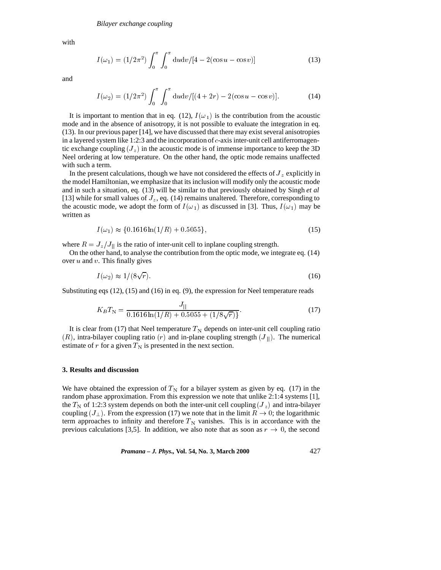with

$$
I(\omega_1) = (1/2\pi^2) \int_0^{\pi} \int_0^{\pi} du dv / [4 - 2(\cos u - \cos v)] \tag{13}
$$

and

$$
I(\omega_2) = (1/2\pi^2) \int_0^{\pi} \int_0^{\pi} du dv / [(4+2r) - 2(\cos u - \cos v)].
$$
 (14)

It is important to mention that in eq. (12),  $I(\omega_1)$  is the contribution from the acoustic mode and in the absence of anisotropy, it is not possible to evaluate the integration in eq. (13). In our previous paper [14], we have discussed that there may exist several anisotropies in a layered system like 1:2:3 and the incorporation of  $c$ -axis inter-unit cell antiferromagentic exchange coupling  $(J_z)$  in the acoustic mode is of immense importance to keep the 3D Neel ordering at low temperature. On the other hand, the optic mode remains unaffected with such a term.

In the present calculations, though we have not considered the effects of  $J_z$  explicitly in the model Hamiltonian, we emphasize that its inclusion will modify only the acoustic mode and in such a situation, eq. (13) will be similar to that previously obtained by Singh *et al* [13] while for small values of  $J_z$ , eq. (14) remains unaltered. Therefore, corresponding to the acoustic mode, we adopt the form of  $I(\omega_1)$  as discussed in [3]. Thus,  $I(\omega_1)$  may be written as

$$
I(\omega_1) \approx \{0.1616 \ln(1/R) + 0.5055\},\tag{15}
$$

where  $R = J_z/J_{\parallel}$  is the ratio of inter-unit cell to inplane coupling strength.

On the other hand, to analyse the contribution from the optic mode, we integrate eq. (14) over  $u$  and  $v$ . This finally gives

$$
I(\omega_2) \approx 1/(8\sqrt{r}).\tag{16}
$$

Substituting eqs  $(12)$ ,  $(15)$  and  $(16)$  in eq.  $(9)$ , the expression for Neel temperature reads

$$
K_B T_N = \frac{J_{||}}{0.1616 \ln(1/R) + 0.5055 + (1/8\sqrt{r})}.
$$
\n(17)

It is clear from (17) that Neel temperature  $T_N$  depends on inter-unit cell coupling ratio  $(R)$ , intra-bilayer coupling ratio  $(r)$  and in-plane coupling strength  $(J_{\parallel})$ . The numerical estimate of r for a given  $T_N$  is presented in the next section.

#### **3. Results and discussion**

We have obtained the expression of  $T<sub>N</sub>$  for a bilayer system as given by eq. (17) in the random phase approximation. From this expression we note that unlike 2:1:4 systems [1], the  $T_N$  of 1:2:3 system depends on both the inter-unit cell coupling  $(J_z)$  and intra-bilayer coupling  $(J_{\perp})$ . From the expression (17) we note that in the limit  $R \to 0$ ; the logarithmic term approaches to infinity and therefore  $T_N$  vanishes. This is in accordance with the previous calculations [3,5]. In addition, we also note that as soon as  $r \to 0$ , the second

*Pramana – J. Phys.,* **Vol. 54, No. 3, March 2000** 427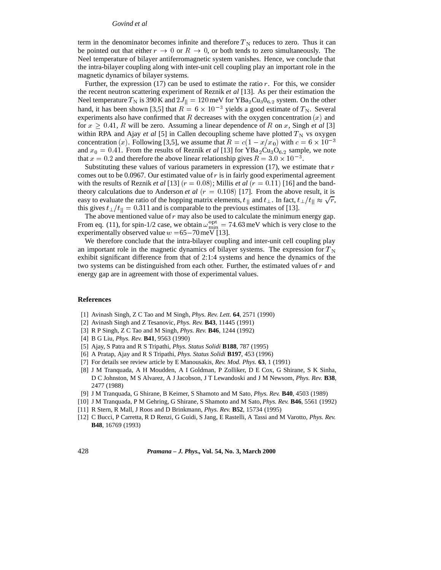#### *Govind et al*

term in the denominator becomes infinite and therefore  $T_N$  reduces to zero. Thus it can be pointed out that either  $r \to 0$  or  $R \to 0$ , or both tends to zero simultaneously. The Neel temperature of bilayer antiferromagnetic system vanishes. Hence, we conclude that the intra-bilayer coupling along with inter-unit cell coupling play an important role in the magnetic dynamics of bilayer systems.

Further, the expression  $(17)$  can be used to estimate the ratio r. For this, we consider the recent neutron scattering experiment of Reznik *et al* [13]. As per their estimation the Neel temperature  $T_N$  is 390 K and  $2J_{||} = 120 \,\text{meV}$  for  $YBa_2Cu_3O_{6.2}$  system. On the other hand, it has been shown [3,5] that  $R = 6 \times 10^{-3}$  yields a good estimate of  $T_N$ . Several experiments also have confirmed that R decreases with the oxygen concentration  $(x)$  and for  $x \geq 0.41$ , R will be zero. Assuming a linear dependence of R on x, Singh *et al* [3] within RPA and Ajay *et al* [5] in Callen decoupling scheme have plotted  $T_N$  vs oxygen concentration (x). Following [3,5], we assume that  $R = c(1 - x/x_0)$  with  $c = 6 \times 10^{-3}$ and  $x_0 = 0.41$ . From the results of Reznik *et al* [13] for YBa<sub>2</sub>Cu<sub>3</sub>O<sub>6.2</sub> sample, we note that  $x = 0.2$  and therefore the above linear relationship gives  $R = 3.0 \times 10^{-3}$ .

Substituting these values of various parameters in expression  $(17)$ , we estimate that r comes out to be 0.0967. Our estimated value of  $r$  is in fairly good experimental agreement with the results of Reznik *et al* [13]  $(r = 0.08)$ ; Millis *et al*  $(r = 0.11)$  [16] and the bandtheory calculations due to Anderson *et al*  $(r = 0.108)$  [17]. From the above result, it is easy to evaluate the ratio of the hopping matrix elements,  $t_{\parallel}$  and  $t_{\perp}$ . In fact,  $t_{\perp}/t_{\parallel} \approx \sqrt{r}$ , this gives  $t_{\perp}/t_{\parallel} = 0.311$  and is comparable to the previous estimates of [13].

The above mentioned value of  $r$  may also be used to calculate the minimum energy gap. From eq. (11), for spin-1/2 case, we obtain  $\omega_{\min}^{\text{opt}} = 74.63 \,\text{meV}$  which is very close to the experimentally observed value  $w = 65-70$  meV [13].

We therefore conclude that the intra-bilayer coupling and inter-unit cell coupling play an important role in the magnetic dynamics of bilayer systems. The expression for  $T_N$ exhibit significant difference from that of 2:1:4 systems and hence the dynamics of the two systems can be distinguished from each other. Further, the estimated values of  $r$  and energy gap are in agreement with those of experimental values.

#### **References**

- [1] Avinash Singh, Z C Tao and M Singh, *Phys. Rev. Lett.* **64**, 2571 (1990)
- [2] Avinash Singh and Z Tesanovic, *Phys. Rev.* **B43**, 11445 (1991)
- [3] R P Singh, Z C Tao and M Singh, *Phys. Rev.* **B46**, 1244 (1992)
- [4] B G Liu, *Phys. Rev.* **B41**, 9563 (1990)
- [5] Ajay, S Patra and R S Tripathi, *Phys. Status Solidi* **B188**, 787 (1995)
- [6] A Pratap, Ajay and R S Tripathi, *Phys. Status Solidi* **B197**, 453 (1996)
- [7] For details see review article by E Manousakis, *Rev. Mod. Phys.* **63**, 1 (1991)
- [8] J M Tranquada, A H Moudden, A I Goldman, P Zolliker, D E Cox, G Shirane, S K Sinha, D C Johnston, M S Alvarez, A J Jacobson, J T Lewandoski and J M Newsom, *Phys. Rev.* **B38**, 2477 (1988)
- [9] J M Tranquada, G Shirane, B Keimer, S Shamoto and M Sato, *Phys. Rev.* **B40**, 4503 (1989)
- [10] J M Tranquada, P M Gehring, G Shirane, S Shamoto and M Sato, *Phys. Rev.* **B46**, 5561 (1992)
- [11] R Stern, R Mall, J Roos and D Brinkmann, *Phys. Rev.* **B52**, 15734 (1995)
- [12] C Bucci, P Carretta, R D Renzi, G Guidi, S Jang, E Rastelli, A Tassi and M Varotto, *Phys. Rev.* **B48**, 16769 (1993)

428 *Pramana – J. Phys.,* **Vol. 54, No. 3, March 2000**